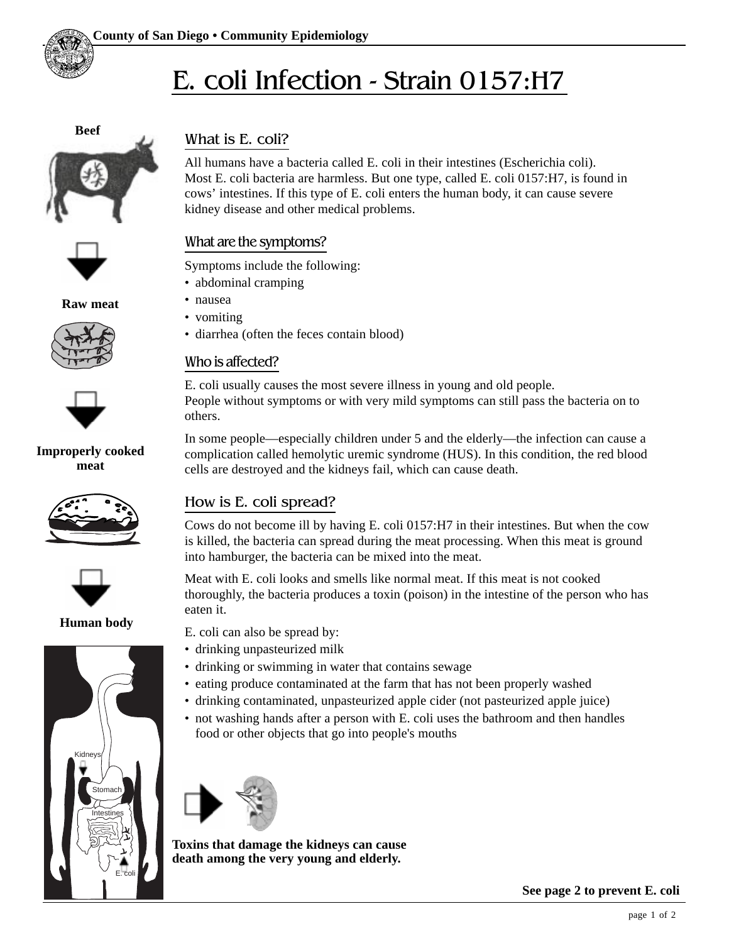

**Beef**





**Raw meat**





### **Improperly cooked meat**





**Human body**



# What is E. coli?

All humans have a bacteria called E. coli in their intestines (Escherichia coli). Most E. coli bacteria are harmless. But one type, called E. coli 0157:H7, is found in cows' intestines. If this type of E. coli enters the human body, it can cause severe kidney disease and other medical problems.

## What are the symptoms?

Symptoms include the following:

- abdominal cramping
- nausea
- vomiting
- diarrhea (often the feces contain blood)

### Who is affected?

E. coli usually causes the most severe illness in young and old people. People without symptoms or with very mild symptoms can still pass the bacteria on to others.

In some people—especially children under 5 and the elderly—the infection can cause a complication called hemolytic uremic syndrome (HUS). In this condition, the red blood cells are destroyed and the kidneys fail, which can cause death.

# How is E. coli spread?

Cows do not become ill by having E. coli 0157:H7 in their intestines. But when the cow is killed, the bacteria can spread during the meat processing. When this meat is ground into hamburger, the bacteria can be mixed into the meat.

Meat with E. coli looks and smells like normal meat. If this meat is not cooked thoroughly, the bacteria produces a toxin (poison) in the intestine of the person who has eaten it.

E. coli can also be spread by:

- drinking unpasteurized milk
- drinking or swimming in water that contains sewage
- eating produce contaminated at the farm that has not been properly washed
- drinking contaminated, unpasteurized apple cider (not pasteurized apple juice)
- not washing hands after a person with E. coli uses the bathroom and then handles food or other objects that go into people's mouths



**Toxins that damage the kidneys can cause death among the very young and elderly.**

**See page 2 to prevent E. coli**